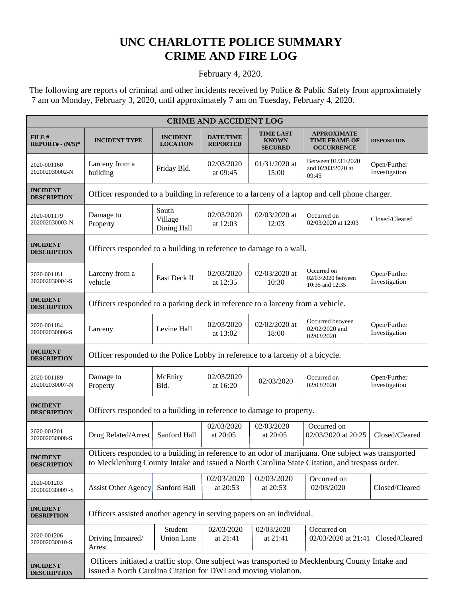## **UNC CHARLOTTE POLICE SUMMARY CRIME AND FIRE LOG**

## February 4, 2020.

 The following are reports of criminal and other incidents received by Police & Public Safety from approximately 7 am on Monday, February 3, 2020, until approximately 7 am on Tuesday, February 4, 2020.

| <b>CRIME AND ACCIDENT LOG</b>         |                                                                                                                                                                                                    |                                    |                                     |                                                    |                                                                 |                               |  |
|---------------------------------------|----------------------------------------------------------------------------------------------------------------------------------------------------------------------------------------------------|------------------------------------|-------------------------------------|----------------------------------------------------|-----------------------------------------------------------------|-------------------------------|--|
| FILE#<br>$REPORT# - (N/S)*$           | <b>INCIDENT TYPE</b>                                                                                                                                                                               | <b>INCIDENT</b><br><b>LOCATION</b> | <b>DATE/TIME</b><br><b>REPORTED</b> | <b>TIME LAST</b><br><b>KNOWN</b><br><b>SECURED</b> | <b>APPROXIMATE</b><br><b>TIME FRAME OF</b><br><b>OCCURRENCE</b> | <b>DISPOSITION</b>            |  |
| 2020-001160<br>202002030002-N         | Larceny from a<br>building                                                                                                                                                                         | Friday Bld.                        | 02/03/2020<br>at 09:45              | 01/31/2020 at<br>15:00                             | Between 01/31/2020<br>and 02/03/2020 at<br>09:45                | Open/Further<br>Investigation |  |
| <b>INCIDENT</b><br><b>DESCRIPTION</b> | Officer responded to a building in reference to a larceny of a laptop and cell phone charger.                                                                                                      |                                    |                                     |                                                    |                                                                 |                               |  |
| 2020-001179<br>202002030003-N         | Damage to<br>Property                                                                                                                                                                              | South<br>Village<br>Dining Hall    | 02/03/2020<br>at 12:03              | 02/03/2020 at<br>12:03                             | Occurred on<br>02/03/2020 at 12:03                              | Closed/Cleared                |  |
| <b>INCIDENT</b><br><b>DESCRIPTION</b> | Officers responded to a building in reference to damage to a wall.                                                                                                                                 |                                    |                                     |                                                    |                                                                 |                               |  |
| 2020-001181<br>202002030004-S         | Larceny from a<br>vehicle                                                                                                                                                                          | East Deck II                       | 02/03/2020<br>at 12:35              | 02/03/2020 at<br>10:30                             | Occurred on<br>02/03/2020 between<br>10:35 and 12:35            | Open/Further<br>Investigation |  |
| <b>INCIDENT</b><br><b>DESCRIPTION</b> | Officers responded to a parking deck in reference to a larceny from a vehicle.                                                                                                                     |                                    |                                     |                                                    |                                                                 |                               |  |
| 2020-001184<br>202002030006-S         | Larceny                                                                                                                                                                                            | Levine Hall                        | 02/03/2020<br>at 13:02              | 02/02/2020 at<br>18:00                             | Occurred between<br>02/02/2020 and<br>02/03/2020                | Open/Further<br>Investigation |  |
| <b>INCIDENT</b><br><b>DESCRIPTION</b> | Officer responded to the Police Lobby in reference to a larceny of a bicycle.                                                                                                                      |                                    |                                     |                                                    |                                                                 |                               |  |
| 2020-001189<br>202002030007-N         | Damage to<br>Property                                                                                                                                                                              | McEniry<br>Bld.                    | 02/03/2020<br>at 16:20              | 02/03/2020                                         | Occurred on<br>02/03/2020                                       | Open/Further<br>Investigation |  |
| <b>INCIDENT</b><br><b>DESCRIPTION</b> | Officers responded to a building in reference to damage to property.                                                                                                                               |                                    |                                     |                                                    |                                                                 |                               |  |
| 2020-001201<br>202002030008-S         | Drug Related/Arrest                                                                                                                                                                                | Sanford Hall                       | 02/03/2020<br>at 20:05              | 02/03/2020<br>at 20:05                             | Occurred on<br>02/03/2020 at 20:25                              | Closed/Cleared                |  |
| <b>INCIDENT</b><br><b>DESCRIPTION</b> | Officers responded to a building in reference to an odor of marijuana. One subject was transported<br>to Mecklenburg County Intake and issued a North Carolina State Citation, and trespass order. |                                    |                                     |                                                    |                                                                 |                               |  |
| 2020-001203<br>202002030009-S         | <b>Assist Other Agency</b>                                                                                                                                                                         | Sanford Hall                       | 02/03/2020<br>at 20:53              | 02/03/2020<br>at 20:53                             | Occurred on<br>02/03/2020                                       | Closed/Cleared                |  |
| <b>INCIDENT</b><br><b>DESRIPTION</b>  | Officers assisted another agency in serving papers on an individual.                                                                                                                               |                                    |                                     |                                                    |                                                                 |                               |  |
| 2020-001206<br>202002030010-S         | Driving Impaired/<br>Arrest                                                                                                                                                                        | Student<br><b>Union Lane</b>       | 02/03/2020<br>at 21:41              | 02/03/2020<br>at 21:41                             | Occurred on<br>02/03/2020 at 21:41                              | Closed/Cleared                |  |
| <b>INCIDENT</b><br><b>DESCRIPTION</b> | Officers initiated a traffic stop. One subject was transported to Mecklenburg County Intake and<br>issued a North Carolina Citation for DWI and moving violation.                                  |                                    |                                     |                                                    |                                                                 |                               |  |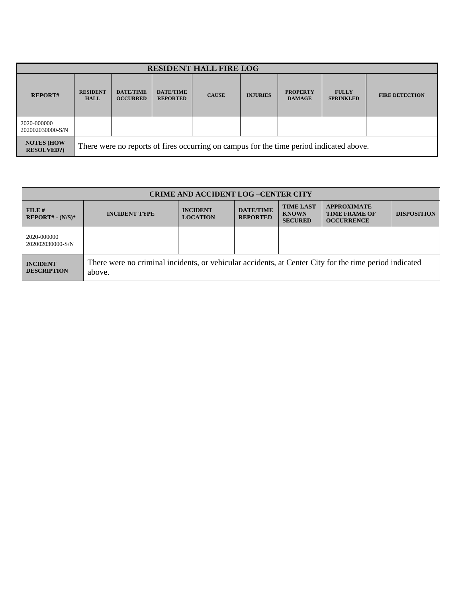| <b>RESIDENT HALL FIRE LOG</b>         |                                                                                         |                                     |                                     |              |                 |                                  |                                  |                       |
|---------------------------------------|-----------------------------------------------------------------------------------------|-------------------------------------|-------------------------------------|--------------|-----------------|----------------------------------|----------------------------------|-----------------------|
| <b>REPORT#</b>                        | <b>RESIDENT</b><br><b>HALL</b>                                                          | <b>DATE/TIME</b><br><b>OCCURRED</b> | <b>DATE/TIME</b><br><b>REPORTED</b> | <b>CAUSE</b> | <b>INJURIES</b> | <b>PROPERTY</b><br><b>DAMAGE</b> | <b>FULLY</b><br><b>SPRINKLED</b> | <b>FIRE DETECTION</b> |
| 2020-000000<br>202002030000-S/N       |                                                                                         |                                     |                                     |              |                 |                                  |                                  |                       |
| <b>NOTES (HOW</b><br><b>RESOLVED?</b> | There were no reports of fires occurring on campus for the time period indicated above. |                                     |                                     |              |                 |                                  |                                  |                       |

| <b>CRIME AND ACCIDENT LOG-CENTER CITY</b> |                                                                                                                  |                                    |                                     |                                                    |                                                                 |                    |  |
|-------------------------------------------|------------------------------------------------------------------------------------------------------------------|------------------------------------|-------------------------------------|----------------------------------------------------|-----------------------------------------------------------------|--------------------|--|
| FILE H<br>$REPORT# - (N/S)*$              | <b>INCIDENT TYPE</b>                                                                                             | <b>INCIDENT</b><br><b>LOCATION</b> | <b>DATE/TIME</b><br><b>REPORTED</b> | <b>TIME LAST</b><br><b>KNOWN</b><br><b>SECURED</b> | <b>APPROXIMATE</b><br><b>TIME FRAME OF</b><br><b>OCCURRENCE</b> | <b>DISPOSITION</b> |  |
| 2020-000000<br>202002030000-S/N           |                                                                                                                  |                                    |                                     |                                                    |                                                                 |                    |  |
| <b>INCIDENT</b><br><b>DESCRIPTION</b>     | There were no criminal incidents, or vehicular accidents, at Center City for the time period indicated<br>above. |                                    |                                     |                                                    |                                                                 |                    |  |